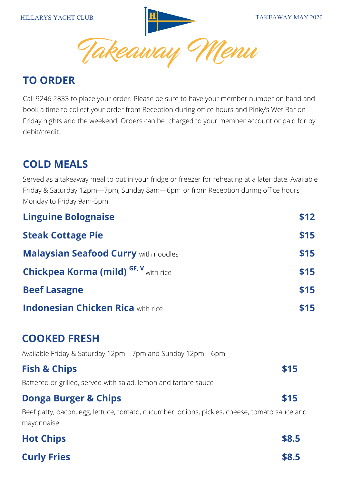**HILLARYS YACHT CLUB TAKEAWAY MAY 2020** Menu

# **TO ORDER**

Call 9246 2833 to place your order. Please be sure to have your member number on hand and book a time to collect your order from Reception during office hours and Pinky's Wet Bar on Friday nights and the weekend. Orders can be charged to your member account or paid for by debit/credit.

# **COLD MEALS**

Served as a takeaway meal to put in your fridge or freezer for reheating at a later date. Available Friday & Saturday 12pm—7pm, Sunday 8am—6pm or from Reception during office hours , Monday to Friday 9am-5pm

| <b>Linguine Bolognaise</b>                                                                                 | \$12  |
|------------------------------------------------------------------------------------------------------------|-------|
| <b>Steak Cottage Pie</b>                                                                                   | \$15  |
| <b>Malaysian Seafood Curry with noodles</b>                                                                | \$15  |
| <b>Chickpea Korma (mild) GF, V</b> with rice                                                               | \$15  |
| <b>Beef Lasagne</b>                                                                                        | \$15  |
| <b>Indonesian Chicken Rica with rice</b>                                                                   | \$15  |
| <b>COOKED FRESH</b>                                                                                        |       |
| Available Friday & Saturday 12pm-7pm and Sunday 12pm-6pm                                                   |       |
| <b>Fish &amp; Chips</b><br>Battered or grilled, served with salad, lemon and tartare sauce                 | \$15  |
| <b>Donga Burger &amp; Chips</b>                                                                            | \$15  |
| Beef patty, bacon, egg, lettuce, tomato, cucumber, onions, pickles, cheese, tomato sauce and<br>mayonnaise |       |
| <b>Hot Chips</b>                                                                                           | \$8.5 |

| \$8.5 |
|-------|
|       |